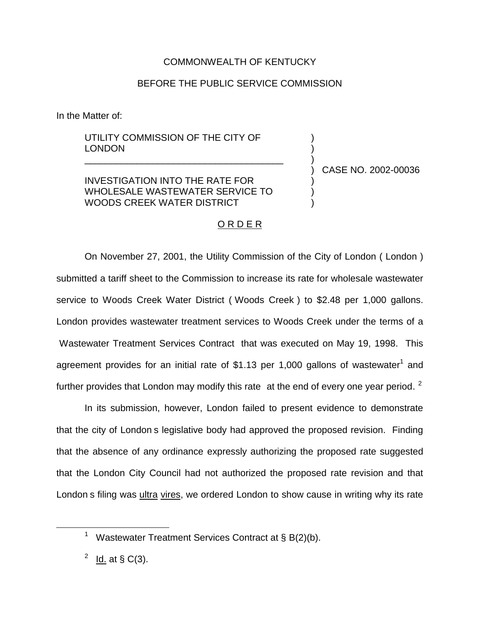## COMMONWEALTH OF KENTUCKY

## BEFORE THE PUBLIC SERVICE COMMISSION

In the Matter of:

## UTILITY COMMISSION OF THE CITY OF LONDON

INVESTIGATION INTO THE RATE FOR WHOLESALE WASTEWATER SERVICE TO WOODS CREEK WATER DISTRICT

\_\_\_\_\_\_\_\_\_\_\_\_\_\_\_\_\_\_\_\_\_\_\_\_\_\_\_\_\_\_\_\_\_\_\_\_\_\_

) CASE NO. 2002-00036

) ) )

) ) )

## O R D E R

On November 27, 2001, the Utility Commission of the City of London ( London ) submitted a tariff sheet to the Commission to increase its rate for wholesale wastewater service to Woods Creek Water District ( Woods Creek ) to \$2.48 per 1,000 gallons. London provides wastewater treatment services to Woods Creek under the terms of a Wastewater Treatment Services Contract that was executed on May 19, 1998. This agreement provides for an initial rate of \$1.13 per 1,000 gallons of wastewater<sup>1</sup> and further provides that London may modify this rate at the end of every one year period.  $2$ 

In its submission, however, London failed to present evidence to demonstrate that the city of London s legislative body had approved the proposed revision. Finding that the absence of any ordinance expressly authorizing the proposed rate suggested that the London City Council had not authorized the proposed rate revision and that London s filing was *ultra vires*, we ordered London to show cause in writing why its rate

Wastewater Treatment Services Contract at § B(2)(b).

 $2$  Id. at § C(3).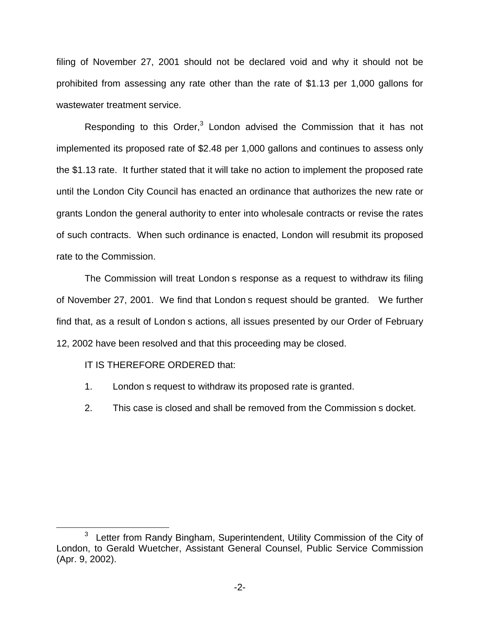filing of November 27, 2001 should not be declared void and why it should not be prohibited from assessing any rate other than the rate of \$1.13 per 1,000 gallons for wastewater treatment service.

Responding to this Order,<sup>3</sup> London advised the Commission that it has not implemented its proposed rate of \$2.48 per 1,000 gallons and continues to assess only the \$1.13 rate. It further stated that it will take no action to implement the proposed rate until the London City Council has enacted an ordinance that authorizes the new rate or grants London the general authority to enter into wholesale contracts or revise the rates of such contracts. When such ordinance is enacted, London will resubmit its proposed rate to the Commission.

The Commission will treat London s response as a request to withdraw its filing of November 27, 2001. We find that London s request should be granted. We further find that, as a result of London s actions, all issues presented by our Order of February 12, 2002 have been resolved and that this proceeding may be closed.

IT IS THEREFORE ORDERED that:

- 1. London s request to withdraw its proposed rate is granted.
- 2. This case is closed and shall be removed from the Commission s docket.

<sup>&</sup>lt;sup>3</sup> Letter from Randy Bingham, Superintendent, Utility Commission of the City of London, to Gerald Wuetcher, Assistant General Counsel, Public Service Commission (Apr. 9, 2002).